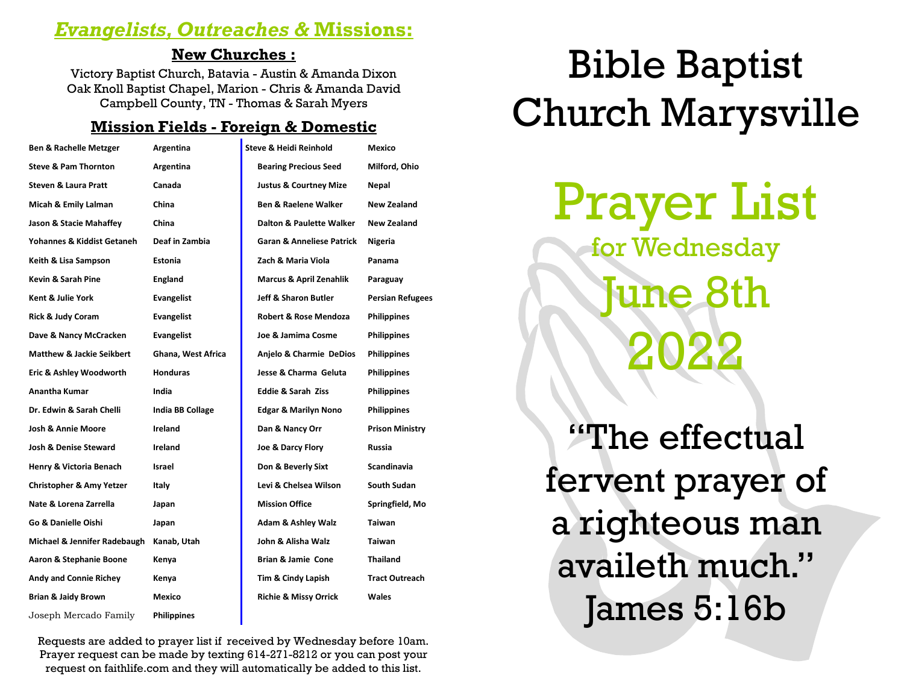# *Evangelists, Outreaches &* **Missions:**

# **New Churches :**

Victory Baptist Church, Batavia - Austin & Amanda Dixon Oak Knoll Baptist Chapel, Marion - Chris & Amanda David Campbell County, TN - Thomas & Sarah Myers

# **Mission Fields - Foreign & Domestic**

| <b>Ben &amp; Rachelle Metzger</b>    | Argentina          | <b>Steve &amp; Heidi Reinhold</b>    | Mexico                  |
|--------------------------------------|--------------------|--------------------------------------|-------------------------|
| <b>Steve &amp; Pam Thornton</b>      | Argentina          | <b>Bearing Precious Seed</b>         | Milford, Ohio           |
| <b>Steven &amp; Laura Pratt</b>      | Canada             | <b>Justus &amp; Courtney Mize</b>    | Nepal                   |
| Micah & Emily Lalman                 | China              | <b>Ben &amp; Raelene Walker</b>      | <b>New Zealand</b>      |
| Jason & Stacie Mahaffey              | China              | <b>Dalton &amp; Paulette Walker</b>  | New Zealand             |
| Yohannes & Kiddist Getaneh           | Deaf in Zambia     | <b>Garan &amp; Anneliese Patrick</b> | Nigeria                 |
| Keith & Lisa Sampson                 | <b>Estonia</b>     | Zach & Maria Viola                   | Panama                  |
| Kevin & Sarah Pine                   | England            | Marcus & April Zenahlik              | Paraguay                |
| Kent & Julie York                    | <b>Evangelist</b>  | <b>Jeff &amp; Sharon Butler</b>      | <b>Persian Refugees</b> |
| <b>Rick &amp; Judy Coram</b>         | <b>Evangelist</b>  | <b>Robert &amp; Rose Mendoza</b>     | <b>Philippines</b>      |
| Dave & Nancy McCracken               | <b>Evangelist</b>  | Joe & Jamima Cosme                   | <b>Philippines</b>      |
| <b>Matthew &amp; Jackie Seikbert</b> | Ghana, West Africa | Anjelo & Charmie DeDios              | <b>Philippines</b>      |
| Eric & Ashley Woodworth              | <b>Honduras</b>    | Jesse & Charma Geluta                | <b>Philippines</b>      |
| Anantha Kumar                        | India              | <b>Eddie &amp; Sarah Ziss</b>        | <b>Philippines</b>      |
| Dr. Edwin & Sarah Chelli             | India BB Collage   | <b>Edgar &amp; Marilyn Nono</b>      | <b>Philippines</b>      |
| Josh & Annie Moore                   | Ireland            | Dan & Nancy Orr                      | <b>Prison Ministry</b>  |
| <b>Josh &amp; Denise Steward</b>     | Ireland            | Joe & Darcy Flory                    | <b>Russia</b>           |
| Henry & Victoria Benach              | Israel             | Don & Beverly Sixt                   | <b>Scandinavia</b>      |
| <b>Christopher &amp; Amy Yetzer</b>  | Italy              | Levi & Chelsea Wilson                | South Sudan             |
| Nate & Lorena Zarrella               | Japan              | <b>Mission Office</b>                | Springfield, Mo         |
| Go & Danielle Oishi                  | Japan              | <b>Adam &amp; Ashley Walz</b>        | Taiwan                  |
| Michael & Jennifer Radebaugh         | Kanab, Utah        | John & Alisha Walz                   | <b>Taiwan</b>           |
| Aaron & Stephanie Boone              | Kenya              | <b>Brian &amp; Jamie Cone</b>        | <b>Thailand</b>         |
| Andy and Connie Richey               | Kenya              | Tim & Cindy Lapish                   | <b>Tract Outreach</b>   |
| <b>Brian &amp; Jaidy Brown</b>       | Mexico             | <b>Richie &amp; Missy Orrick</b>     | Wales                   |
| Joseph Mercado Family                | <b>Philippines</b> |                                      |                         |

Requests are added to prayer list if received by Wednesday before 10am. Prayer request can be made by texting 614-271-8212 or you can post your request on faithlife.com and they will automatically be added to this list.

# Bible Baptist Church Marysville

Prayer List

for Wednesday June 8th 2022

"The effectual fervent prayer of a righteous man availeth much." James 5:16b